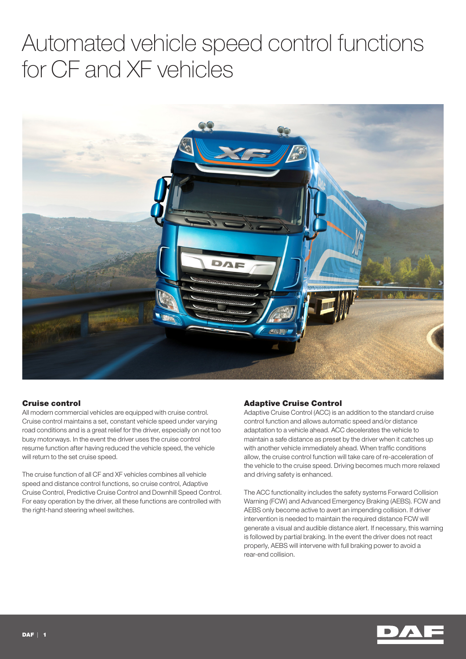# Automated vehicle speed control functions for CF and XF vehicles



### Cruise control

All modern commercial vehicles are equipped with cruise control. Cruise control maintains a set, constant vehicle speed under varying road conditions and is a great relief for the driver, especially on not too busy motorways. In the event the driver uses the cruise control resume function after having reduced the vehicle speed, the vehicle will return to the set cruise speed.

The cruise function of all CF and XF vehicles combines all vehicle speed and distance control functions, so cruise control, Adaptive Cruise Control, Predictive Cruise Control and Downhill Speed Control. For easy operation by the driver, all these functions are controlled with the right-hand steering wheel switches.

### Adaptive Cruise Control

Adaptive Cruise Control (ACC) is an addition to the standard cruise control function and allows automatic speed and/or distance adaptation to a vehicle ahead. ACC decelerates the vehicle to maintain a safe distance as preset by the driver when it catches up with another vehicle immediately ahead. When traffic conditions allow, the cruise control function will take care of re-acceleration of the vehicle to the cruise speed. Driving becomes much more relaxed and driving safety is enhanced.

The ACC functionality includes the safety systems Forward Collision Warning (FCW) and Advanced Emergency Braking (AEBS). FCW and AEBS only become active to avert an impending collision. If driver intervention is needed to maintain the required distance FCW will generate a visual and audible distance alert. If necessary, this warning is followed by partial braking. In the event the driver does not react properly, AEBS will intervene with full braking power to avoid a rear-end collision.